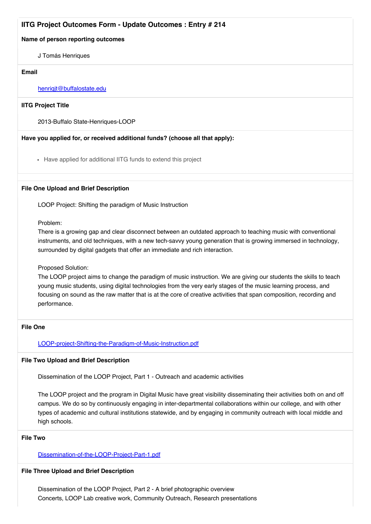# **IITG Project Outcomes Form - Update Outcomes : Entry # 214**

#### **Name of person reporting outcomes**

J Tomás Henriques

#### **Email**

#### henrigit@buffalostate.edu

**IITG Project Title**

2013-Buffalo State-Henriques-LOOP

## **Have you applied for, or received additional funds? (choose all that apply):**

Have applied for additional IITG funds to extend this project

#### **File One Upload and Brief Description**

LOOP Project: Shifting the paradigm of Music Instruction

Problem:

There is a growing gap and clear disconnect between an outdated approach to teaching music with conventional instruments, and old techniques, with a new tech-savvy young generation that is growing immersed in technology, surrounded by digital gadgets that offer an immediate and rich interaction.

## Proposed Solution:

The LOOP project aims to change the paradigm of music instruction. We are giving our students the skills to teach young music students, using digital technologies from the very early stages of the music learning process, and focusing on sound as the raw matter that is at the core of creative activities that span composition, recording and performance.

#### **File One**

[LOOP-project-Shifting-the-Paradigm-of-Music-Instruction.pdf](http://commons.suny.edu/iitg/files/gravity_forms/5-b15f356db8f4f8c01ddc268ed7d0d7bb/2015/04/LOOP-project-Shifting-the-Paradigm-of-Music-Instruction.pdf)

#### **File Two Upload and Brief Description**

Dissemination of the LOOP Project, Part 1 - Outreach and academic activities

The LOOP project and the program in Digital Music have great visibility disseminating their activities both on and off campus. We do so by continuously engaging in inter-departmental collaborations within our college, and with other types of academic and cultural institutions statewide, and by engaging in community outreach with local middle and high schools.

## **File Two**

## [Dissemination-of-the-LOOP-Project-Part-1.pdf](http://commons.suny.edu/iitg/files/gravity_forms/5-b15f356db8f4f8c01ddc268ed7d0d7bb/2015/04/Dissemination-of-the-LOOP-Project-Part-1.pdf)

## **File Three Upload and Brief Description**

Dissemination of the LOOP Project, Part 2 - A brief photographic overview Concerts, LOOP Lab creative work, Community Outreach, Research presentations